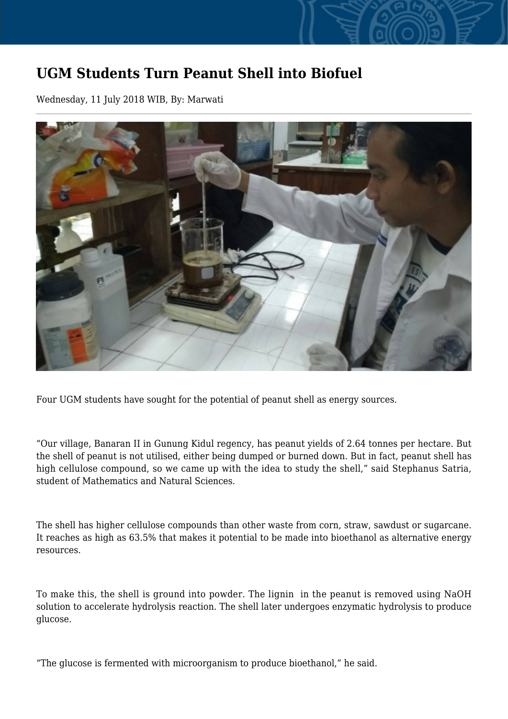## **UGM Students Turn Peanut Shell into Biofuel**

Wednesday, 11 July 2018 WIB, By: Marwati



Four UGM students have sought for the potential of peanut shell as energy sources.

"Our village, Banaran II in Gunung Kidul regency, has peanut yields of 2.64 tonnes per hectare. But the shell of peanut is not utilised, either being dumped or burned down. But in fact, peanut shell has high cellulose compound, so we came up with the idea to study the shell," said Stephanus Satria, student of Mathematics and Natural Sciences.

The shell has higher cellulose compounds than other waste from corn, straw, sawdust or sugarcane. It reaches as high as 63.5% that makes it potential to be made into bioethanol as alternative energy resources.

To make this, the shell is ground into powder. The lignin in the peanut is removed using NaOH solution to accelerate hydrolysis reaction. The shell later undergoes enzymatic hydrolysis to produce glucose.

"The glucose is fermented with microorganism to produce bioethanol," he said.